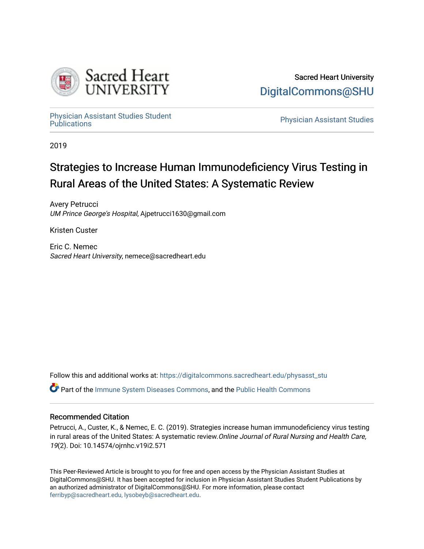

[Physician Assistant Studies Student](https://digitalcommons.sacredheart.edu/physasst_stu) 

**Physician Assistant Studies** 

2019

# Strategies to Increase Human Immunodeficiency Virus Testing in Rural Areas of the United States: A Systematic Review

Avery Petrucci UM Prince George's Hospital, Ajpetrucci1630@gmail.com

Kristen Custer

Eric C. Nemec Sacred Heart University, nemece@sacredheart.edu

Follow this and additional works at: [https://digitalcommons.sacredheart.edu/physasst\\_stu](https://digitalcommons.sacredheart.edu/physasst_stu?utm_source=digitalcommons.sacredheart.edu%2Fphysasst_stu%2F1&utm_medium=PDF&utm_campaign=PDFCoverPages) 

Part of the [Immune System Diseases Commons,](http://network.bepress.com/hgg/discipline/933?utm_source=digitalcommons.sacredheart.edu%2Fphysasst_stu%2F1&utm_medium=PDF&utm_campaign=PDFCoverPages) and the [Public Health Commons](http://network.bepress.com/hgg/discipline/738?utm_source=digitalcommons.sacredheart.edu%2Fphysasst_stu%2F1&utm_medium=PDF&utm_campaign=PDFCoverPages) 

## Recommended Citation

Petrucci, A., Custer, K., & Nemec, E. C. (2019). Strategies increase human immunodeficiency virus testing in rural areas of the United States: A systematic review. Online Journal of Rural Nursing and Health Care, 19(2). Doi: 10.14574/ojrnhc.v19i2.571

This Peer-Reviewed Article is brought to you for free and open access by the Physician Assistant Studies at DigitalCommons@SHU. It has been accepted for inclusion in Physician Assistant Studies Student Publications by an authorized administrator of DigitalCommons@SHU. For more information, please contact [ferribyp@sacredheart.edu, lysobeyb@sacredheart.edu.](mailto:ferribyp@sacredheart.edu,%20lysobeyb@sacredheart.edu)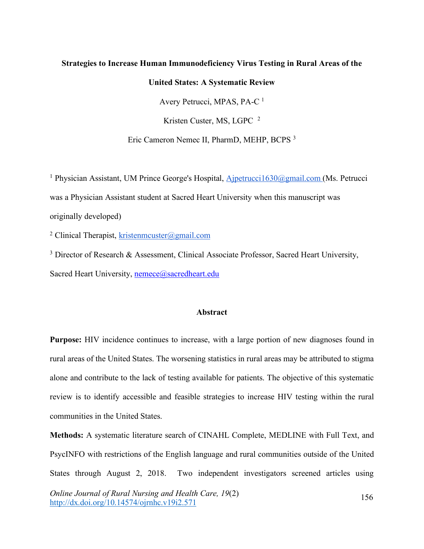## **Strategies to Increase Human Immunodeficiency Virus Testing in Rural Areas of the**

#### **United States: A Systematic Review**

Avery Petrucci, MPAS, PA-C 1

Kristen Custer, MS, LGPC <sup>2</sup>

Eric Cameron Nemec II, PharmD, MEHP, BCPS 3

<sup>1</sup> Physician Assistant, UM Prince George's Hospital, Ajpetrucci1630@gmail.com (Ms. Petrucci was a Physician Assistant student at Sacred Heart University when this manuscript was originally developed)

<sup>2</sup> Clinical Therapist, kristenmcuster@gmail.com

<sup>3</sup> Director of Research & Assessment, Clinical Associate Professor, Sacred Heart University, Sacred Heart University, nemece@sacredheart.edu

#### **Abstract**

**Purpose:** HIV incidence continues to increase, with a large portion of new diagnoses found in rural areas of the United States. The worsening statistics in rural areas may be attributed to stigma alone and contribute to the lack of testing available for patients. The objective of this systematic review is to identify accessible and feasible strategies to increase HIV testing within the rural communities in the United States.

**Methods:** A systematic literature search of CINAHL Complete, MEDLINE with Full Text, and PsycINFO with restrictions of the English language and rural communities outside of the United States through August 2, 2018. Two independent investigators screened articles using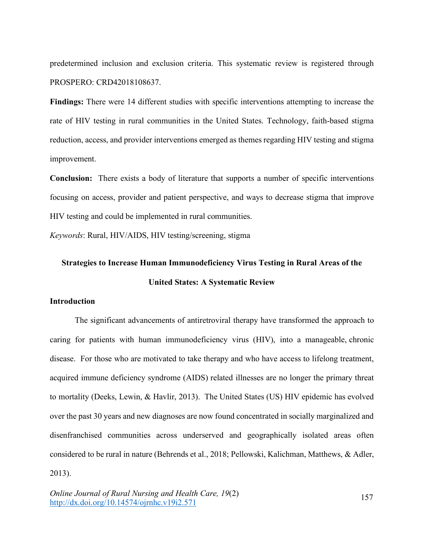predetermined inclusion and exclusion criteria. This systematic review is registered through PROSPERO: CRD42018108637.

**Findings:** There were 14 different studies with specific interventions attempting to increase the rate of HIV testing in rural communities in the United States. Technology, faith-based stigma reduction, access, and provider interventions emerged as themes regarding HIV testing and stigma improvement.

**Conclusion:** There exists a body of literature that supports a number of specific interventions focusing on access, provider and patient perspective, and ways to decrease stigma that improve HIV testing and could be implemented in rural communities.

*Keywords*: Rural, HIV/AIDS, HIV testing/screening, stigma

# **Strategies to Increase Human Immunodeficiency Virus Testing in Rural Areas of the United States: A Systematic Review**

## **Introduction**

The significant advancements of antiretroviral therapy have transformed the approach to caring for patients with human immunodeficiency virus (HIV), into a manageable, chronic disease. For those who are motivated to take therapy and who have access to lifelong treatment, acquired immune deficiency syndrome (AIDS) related illnesses are no longer the primary threat to mortality (Deeks, Lewin, & Havlir, 2013). The United States (US) HIV epidemic has evolved over the past 30 years and new diagnoses are now found concentrated in socially marginalized and disenfranchised communities across underserved and geographically isolated areas often considered to be rural in nature (Behrends et al., 2018; Pellowski, Kalichman, Matthews, & Adler, 2013).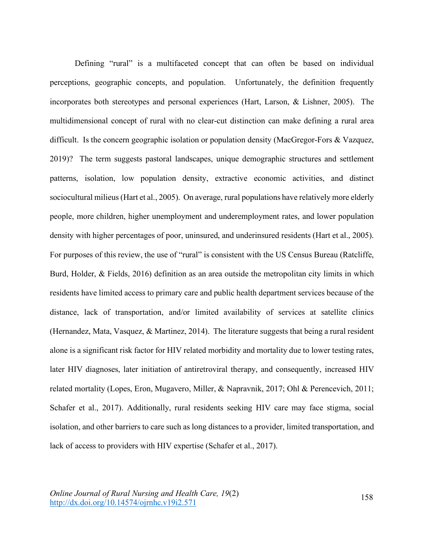Defining "rural" is a multifaceted concept that can often be based on individual perceptions, geographic concepts, and population. Unfortunately, the definition frequently incorporates both stereotypes and personal experiences (Hart, Larson, & Lishner, 2005). The multidimensional concept of rural with no clear-cut distinction can make defining a rural area difficult. Is the concern geographic isolation or population density (MacGregor-Fors & Vazquez, 2019)? The term suggests pastoral landscapes, unique demographic structures and settlement patterns, isolation, low population density, extractive economic activities, and distinct sociocultural milieus (Hart et al., 2005). On average, rural populations have relatively more elderly people, more children, higher unemployment and underemployment rates, and lower population density with higher percentages of poor, uninsured, and underinsured residents (Hart et al., 2005). For purposes of this review, the use of "rural" is consistent with the US Census Bureau (Ratcliffe, Burd, Holder, & Fields, 2016) definition as an area outside the metropolitan city limits in which residents have limited access to primary care and public health department services because of the distance, lack of transportation, and/or limited availability of services at satellite clinics (Hernandez, Mata, Vasquez, & Martinez, 2014). The literature suggests that being a rural resident alone is a significant risk factor for HIV related morbidity and mortality due to lower testing rates, later HIV diagnoses, later initiation of antiretroviral therapy, and consequently, increased HIV related mortality (Lopes, Eron, Mugavero, Miller, & Napravnik, 2017; Ohl & Perencevich, 2011; Schafer et al., 2017). Additionally, rural residents seeking HIV care may face stigma, social isolation, and other barriers to care such as long distances to a provider, limited transportation, and lack of access to providers with HIV expertise (Schafer et al., 2017).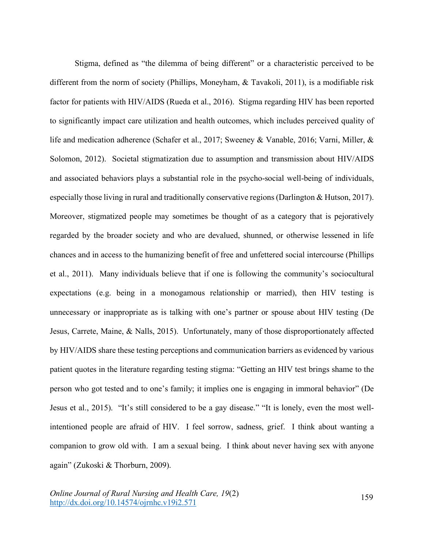Stigma, defined as "the dilemma of being different" or a characteristic perceived to be different from the norm of society (Phillips, Moneyham, & Tavakoli, 2011), is a modifiable risk factor for patients with HIV/AIDS (Rueda et al., 2016). Stigma regarding HIV has been reported to significantly impact care utilization and health outcomes, which includes perceived quality of life and medication adherence (Schafer et al., 2017; Sweeney & Vanable, 2016; Varni, Miller, & Solomon, 2012). Societal stigmatization due to assumption and transmission about HIV/AIDS and associated behaviors plays a substantial role in the psycho-social well-being of individuals, especially those living in rural and traditionally conservative regions (Darlington & Hutson, 2017). Moreover, stigmatized people may sometimes be thought of as a category that is pejoratively regarded by the broader society and who are devalued, shunned, or otherwise lessened in life chances and in access to the humanizing benefit of free and unfettered social intercourse (Phillips et al., 2011). Many individuals believe that if one is following the community's sociocultural expectations (e.g. being in a monogamous relationship or married), then HIV testing is unnecessary or inappropriate as is talking with one's partner or spouse about HIV testing (De Jesus, Carrete, Maine, & Nalls, 2015). Unfortunately, many of those disproportionately affected by HIV/AIDS share these testing perceptions and communication barriers as evidenced by various patient quotes in the literature regarding testing stigma: "Getting an HIV test brings shame to the person who got tested and to one's family; it implies one is engaging in immoral behavior" (De Jesus et al., 2015). "It's still considered to be a gay disease." "It is lonely, even the most wellintentioned people are afraid of HIV. I feel sorrow, sadness, grief. I think about wanting a companion to grow old with. I am a sexual being. I think about never having sex with anyone again" (Zukoski & Thorburn, 2009).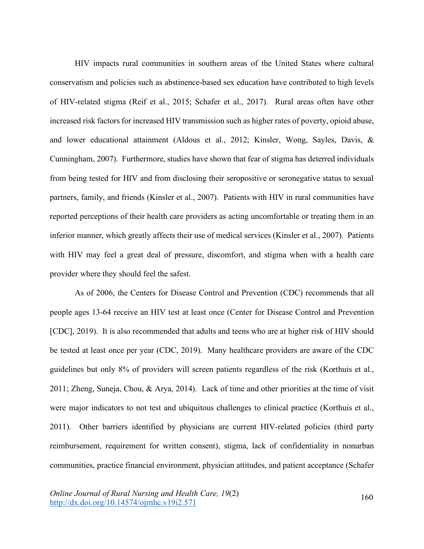HIV impacts rural communities in southern areas of the United States where cultural conservatism and policies such as abstinence-based sex education have contributed to high levels of HIV-related stigma (Reif et al., 2015; Schafer et al., 2017). Rural areas often have other increased risk factors for increased HIV transmission such as higher rates of poverty, opioid abuse, and lower educational attainment (Aldous et al., 2012; Kinsler, Wong, Sayles, Davis, & Cunningham, 2007). Furthermore, studies have shown that fear of stigma has deterred individuals from being tested for HIV and from disclosing their seropositive or seronegative status to sexual partners, family, and friends (Kinsler et al., 2007). Patients with HIV in rural communities have reported perceptions of their health care providers as acting uncomfortable or treating them in an inferior manner, which greatly affects their use of medical services (Kinsler et al., 2007). Patients with HIV may feel a great deal of pressure, discomfort, and stigma when with a health care provider where they should feel the safest.

As of 2006, the Centers for Disease Control and Prevention (CDC) recommends that all people ages 13-64 receive an HIV test at least once (Center for Disease Control and Prevention [CDC], 2019). It is also recommended that adults and teens who are at higher risk of HIV should be tested at least once per year (CDC, 2019). Many healthcare providers are aware of the CDC guidelines but only 8% of providers will screen patients regardless of the risk (Korthuis et al., 2011; Zheng, Suneja, Chou, & Arya, 2014). Lack of time and other priorities at the time of visit were major indicators to not test and ubiquitous challenges to clinical practice (Korthuis et al., 2011). Other barriers identified by physicians are current HIV-related policies (third party reimbursement, requirement for written consent), stigma, lack of confidentiality in nonurban communities, practice financial environment, physician attitudes, and patient acceptance (Schafer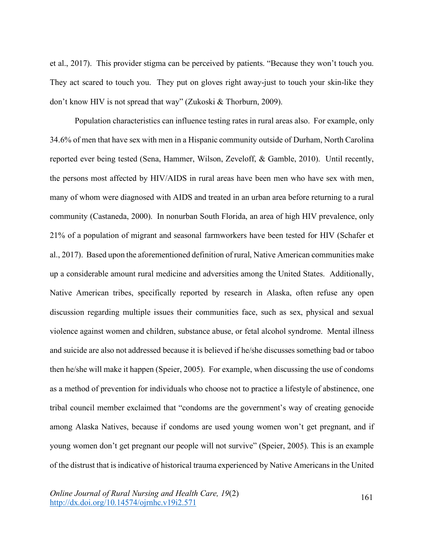et al., 2017). This provider stigma can be perceived by patients. "Because they won't touch you. They act scared to touch you. They put on gloves right away-just to touch your skin-like they don't know HIV is not spread that way" (Zukoski & Thorburn, 2009).

Population characteristics can influence testing rates in rural areas also. For example, only 34.6% of men that have sex with men in a Hispanic community outside of Durham, North Carolina reported ever being tested (Sena, Hammer, Wilson, Zeveloff, & Gamble, 2010). Until recently, the persons most affected by HIV/AIDS in rural areas have been men who have sex with men, many of whom were diagnosed with AIDS and treated in an urban area before returning to a rural community (Castaneda, 2000). In nonurban South Florida, an area of high HIV prevalence, only 21% of a population of migrant and seasonal farmworkers have been tested for HIV (Schafer et al., 2017). Based upon the aforementioned definition of rural, Native American communities make up a considerable amount rural medicine and adversities among the United States. Additionally, Native American tribes, specifically reported by research in Alaska, often refuse any open discussion regarding multiple issues their communities face, such as sex, physical and sexual violence against women and children, substance abuse, or fetal alcohol syndrome. Mental illness and suicide are also not addressed because it is believed if he/she discusses something bad or taboo then he/she will make it happen (Speier, 2005). For example, when discussing the use of condoms as a method of prevention for individuals who choose not to practice a lifestyle of abstinence, one tribal council member exclaimed that "condoms are the government's way of creating genocide among Alaska Natives, because if condoms are used young women won't get pregnant, and if young women don't get pregnant our people will not survive" (Speier, 2005). This is an example of the distrust that is indicative of historical trauma experienced by Native Americans in the United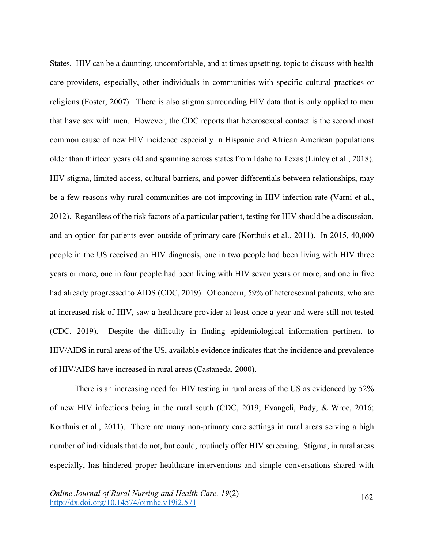States. HIV can be a daunting, uncomfortable, and at times upsetting, topic to discuss with health care providers, especially, other individuals in communities with specific cultural practices or religions (Foster, 2007). There is also stigma surrounding HIV data that is only applied to men that have sex with men. However, the CDC reports that heterosexual contact is the second most common cause of new HIV incidence especially in Hispanic and African American populations older than thirteen years old and spanning across states from Idaho to Texas (Linley et al., 2018). HIV stigma, limited access, cultural barriers, and power differentials between relationships, may be a few reasons why rural communities are not improving in HIV infection rate (Varni et al., 2012). Regardless of the risk factors of a particular patient, testing for HIV should be a discussion, and an option for patients even outside of primary care (Korthuis et al., 2011). In 2015, 40,000 people in the US received an HIV diagnosis, one in two people had been living with HIV three years or more, one in four people had been living with HIV seven years or more, and one in five had already progressed to AIDS (CDC, 2019). Of concern, 59% of heterosexual patients, who are at increased risk of HIV, saw a healthcare provider at least once a year and were still not tested (CDC, 2019). Despite the difficulty in finding epidemiological information pertinent to HIV/AIDS in rural areas of the US, available evidence indicates that the incidence and prevalence of HIV/AIDS have increased in rural areas (Castaneda, 2000).

There is an increasing need for HIV testing in rural areas of the US as evidenced by 52% of new HIV infections being in the rural south (CDC, 2019; Evangeli, Pady, & Wroe, 2016; Korthuis et al., 2011). There are many non-primary care settings in rural areas serving a high number of individuals that do not, but could, routinely offer HIV screening. Stigma, in rural areas especially, has hindered proper healthcare interventions and simple conversations shared with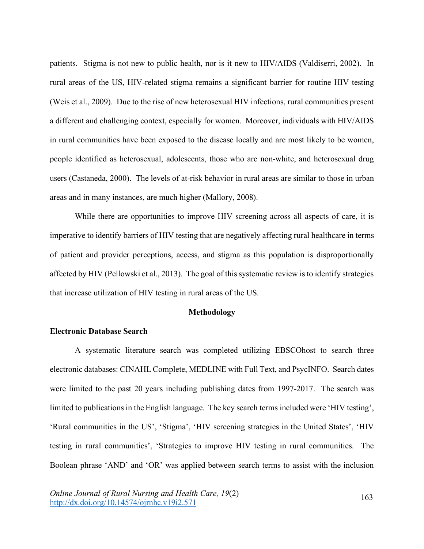patients. Stigma is not new to public health, nor is it new to HIV/AIDS (Valdiserri, 2002). In rural areas of the US, HIV-related stigma remains a significant barrier for routine HIV testing (Weis et al., 2009). Due to the rise of new heterosexual HIV infections, rural communities present a different and challenging context, especially for women. Moreover, individuals with HIV/AIDS in rural communities have been exposed to the disease locally and are most likely to be women, people identified as heterosexual, adolescents, those who are non-white, and heterosexual drug users (Castaneda, 2000). The levels of at-risk behavior in rural areas are similar to those in urban areas and in many instances, are much higher (Mallory, 2008).

While there are opportunities to improve HIV screening across all aspects of care, it is imperative to identify barriers of HIV testing that are negatively affecting rural healthcare in terms of patient and provider perceptions, access, and stigma as this population is disproportionally affected by HIV (Pellowski et al., 2013). The goal of this systematic review is to identify strategies that increase utilization of HIV testing in rural areas of the US.

### **Methodology**

### **Electronic Database Search**

A systematic literature search was completed utilizing EBSCOhost to search three electronic databases: CINAHL Complete, MEDLINE with Full Text, and PsycINFO. Search dates were limited to the past 20 years including publishing dates from 1997-2017. The search was limited to publications in the English language. The key search terms included were 'HIV testing', 'Rural communities in the US', 'Stigma', 'HIV screening strategies in the United States', 'HIV testing in rural communities', 'Strategies to improve HIV testing in rural communities. The Boolean phrase 'AND' and 'OR' was applied between search terms to assist with the inclusion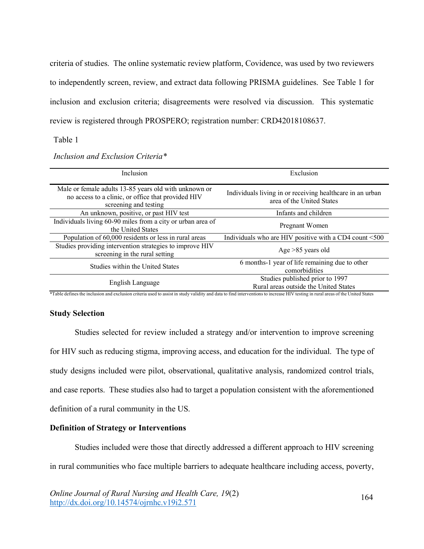criteria of studies. The online systematic review platform, Covidence, was used by two reviewers to independently screen, review, and extract data following PRISMA guidelines. See Table 1 for inclusion and exclusion criteria; disagreements were resolved via discussion. This systematic review is registered through PROSPERO; registration number: CRD42018108637.

Table 1

| Inclusion                                                                                                                            | Exclusion                                                                              |  |
|--------------------------------------------------------------------------------------------------------------------------------------|----------------------------------------------------------------------------------------|--|
| Male or female adults 13-85 years old with unknown or<br>no access to a clinic, or office that provided HIV<br>screening and testing | Individuals living in or receiving healthcare in an urban<br>area of the United States |  |
| An unknown, positive, or past HIV test                                                                                               | Infants and children                                                                   |  |
| Individuals living 60-90 miles from a city or urban area of<br>the United States                                                     | Pregnant Women                                                                         |  |
| Population of 60,000 residents or less in rural areas                                                                                | Individuals who are HIV positive with a CD4 count <500                                 |  |
| Studies providing intervention strategies to improve HIV<br>screening in the rural setting                                           | Age $>85$ years old                                                                    |  |
| <b>Studies within the United States</b>                                                                                              | 6 months-1 year of life remaining due to other<br>comorbidities                        |  |
| English Language                                                                                                                     | Studies published prior to 1997<br>Rural areas outside the United States               |  |

*Inclusion and Exclusion Criteria\**

\*Table defines the inclusion and exclusion criteria used to assist in study validity and data to find interventions to increase HIV testing in rural areas of the United States

## **Study Selection**

Studies selected for review included a strategy and/or intervention to improve screening for HIV such as reducing stigma, improving access, and education for the individual. The type of study designs included were pilot, observational, qualitative analysis, randomized control trials, and case reports. These studies also had to target a population consistent with the aforementioned definition of a rural community in the US.

## **Definition of Strategy or Interventions**

Studies included were those that directly addressed a different approach to HIV screening in rural communities who face multiple barriers to adequate healthcare including access, poverty,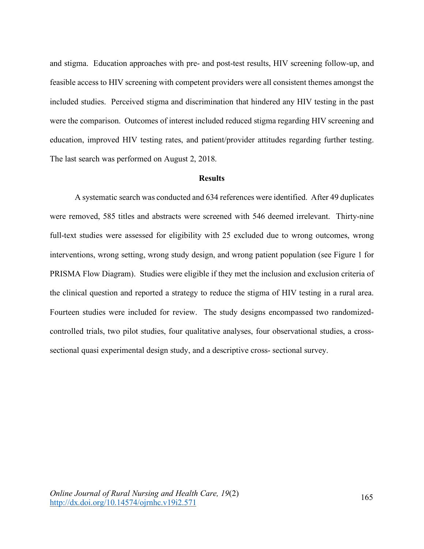and stigma. Education approaches with pre- and post-test results, HIV screening follow-up, and feasible access to HIV screening with competent providers were all consistent themes amongst the included studies. Perceived stigma and discrimination that hindered any HIV testing in the past were the comparison. Outcomes of interest included reduced stigma regarding HIV screening and education, improved HIV testing rates, and patient/provider attitudes regarding further testing. The last search was performed on August 2, 2018.

#### **Results**

A systematic search was conducted and 634 references were identified. After 49 duplicates were removed, 585 titles and abstracts were screened with 546 deemed irrelevant. Thirty-nine full-text studies were assessed for eligibility with 25 excluded due to wrong outcomes, wrong interventions, wrong setting, wrong study design, and wrong patient population (see Figure 1 for PRISMA Flow Diagram). Studies were eligible if they met the inclusion and exclusion criteria of the clinical question and reported a strategy to reduce the stigma of HIV testing in a rural area. Fourteen studies were included for review. The study designs encompassed two randomizedcontrolled trials, two pilot studies, four qualitative analyses, four observational studies, a crosssectional quasi experimental design study, and a descriptive cross- sectional survey.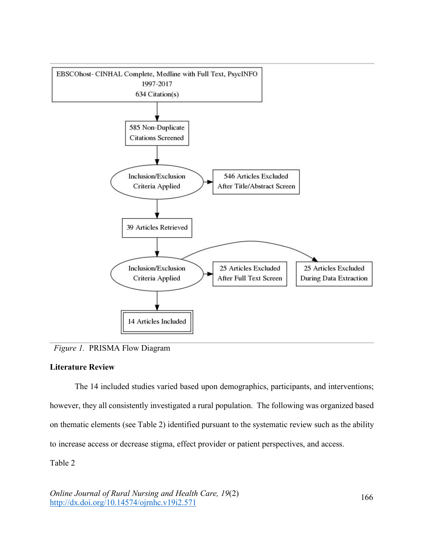

*Figure 1.*PRISMA Flow Diagram

## **Literature Review**

The 14 included studies varied based upon demographics, participants, and interventions; however, they all consistently investigated a rural population. The following was organized based on thematic elements (see Table 2) identified pursuant to the systematic review such as the ability to increase access or decrease stigma, effect provider or patient perspectives, and access.

Table 2

*Online Journal of Rural Nursing and Health Care, 19*(2)  $\frac{60}{\text{http://dx.doi.org/10.14574/ojrnhc.v19i2.571}}$  166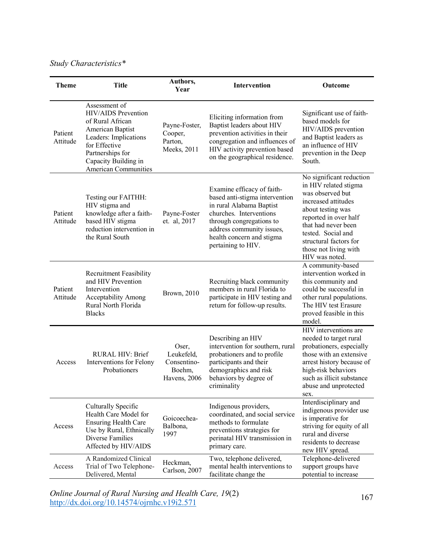# *Study Characteristics\**

| <b>Theme</b>        | <b>Title</b>                                                                                                                                                                                             | Authors,<br>Year                                             | Intervention                                                                                                                                                                                                                    | Outcome                                                                                                                                                                                                                                                      |
|---------------------|----------------------------------------------------------------------------------------------------------------------------------------------------------------------------------------------------------|--------------------------------------------------------------|---------------------------------------------------------------------------------------------------------------------------------------------------------------------------------------------------------------------------------|--------------------------------------------------------------------------------------------------------------------------------------------------------------------------------------------------------------------------------------------------------------|
| Patient<br>Attitude | Assessment of<br><b>HIV/AIDS</b> Prevention<br>of Rural African<br>American Baptist<br>Leaders: Implications<br>for Effective<br>Partnerships for<br>Capacity Building in<br><b>American Communities</b> | Payne-Foster,<br>Cooper,<br>Parton,<br>Meeks, 2011           | Eliciting information from<br>Baptist leaders about HIV<br>prevention activities in their<br>congregation and influences of<br>HIV activity prevention based<br>on the geographical residence.                                  | Significant use of faith-<br>based models for<br>HIV/AIDS prevention<br>and Baptist leaders as<br>an influence of HIV<br>prevention in the Deep<br>South.                                                                                                    |
| Patient<br>Attitude | Testing our FAITHH:<br>HIV stigma and<br>knowledge after a faith-<br>based HIV stigma<br>reduction intervention in<br>the Rural South                                                                    | Payne-Foster<br>et. al, 2017                                 | Examine efficacy of faith-<br>based anti-stigma intervention<br>in rural Alabama Baptist<br>churches. Interventions<br>through congregations to<br>address community issues,<br>health concern and stigma<br>pertaining to HIV. | No significant reduction<br>in HIV related stigma<br>was observed but<br>increased attitudes<br>about testing was<br>reported in over half<br>that had never been<br>tested. Social and<br>structural factors for<br>those not living with<br>HIV was noted. |
| Patient<br>Attitude | <b>Recruitment Feasibility</b><br>and HIV Prevention<br>Intervention<br>Acceptability Among<br>Rural North Florida<br><b>Blacks</b>                                                                      | Brown, 2010                                                  | Recruiting black community<br>members in rural Florida to<br>participate in HIV testing and<br>return for follow-up results.                                                                                                    | A community-based<br>intervention worked in<br>this community and<br>could be successful in<br>other rural populations.<br>The HIV test Erasure<br>proved feasible in this<br>model.                                                                         |
| Access              | <b>RURAL HIV: Brief</b><br>Interventions for Felony<br>Probationers                                                                                                                                      | Oser,<br>Leukefeld,<br>Consentino-<br>Boehm,<br>Havens, 2006 | Describing an HIV<br>intervention for southern, rural<br>probationers and to profile<br>participants and their<br>demographics and risk<br>behaviors by degree of<br>criminality                                                | HIV interventions are<br>needed to target rural<br>probationers, especially<br>those with an extensive<br>arrest history because of<br>high-risk behaviors<br>such as illicit substance<br>abuse and unprotected<br>sex.                                     |
| Access              | Culturally Specific<br>Health Care Model for<br><b>Ensuring Health Care</b><br>Use by Rural, Ethnically<br>Diverse Families<br>Affected by HIV/AIDS                                                      | Goicoechea-<br>Balbona,<br>1997                              | Indigenous providers,<br>coordinated, and social service<br>methods to formulate<br>preventions strategies for<br>perinatal HIV transmission in<br>primary care.                                                                | Interdisciplinary and<br>indigenous provider use<br>is imperative for<br>striving for equity of all<br>rural and diverse<br>residents to decrease<br>new HIV spread.                                                                                         |
| Access              | A Randomized Clinical<br>Trial of Two Telephone-<br>Delivered, Mental                                                                                                                                    | Heckman,<br>Carlson, 2007                                    | Two, telephone delivered,<br>mental health interventions to<br>facilitate change the                                                                                                                                            | Telephone-delivered<br>support groups have<br>potential to increase                                                                                                                                                                                          |

*Online Journal of Rural Nursing and Health Care, 19(2)* 167<br>http://dx.doi.org/10.14574/ojrnhc.v19i2.571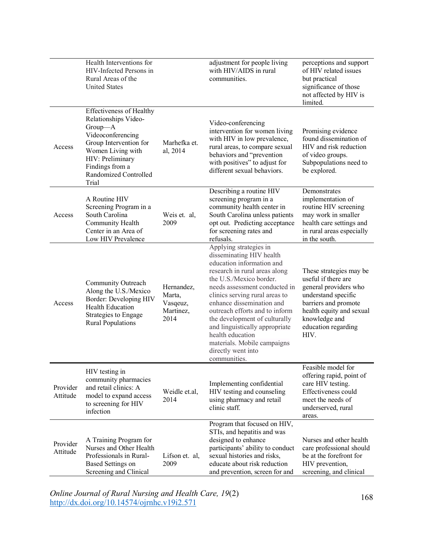|                      | Health Interventions for<br>HIV-Infected Persons in<br>Rural Areas of the<br><b>United States</b>                                                                                                               |                                                       | adjustment for people living<br>with HIV/AIDS in rural<br>communities.                                                                                                                                                                                                                                                                                                                                                                    | perceptions and support<br>of HIV related issues<br>but practical<br>significance of those<br>not affected by HIV is<br>limited.                                                                   |
|----------------------|-----------------------------------------------------------------------------------------------------------------------------------------------------------------------------------------------------------------|-------------------------------------------------------|-------------------------------------------------------------------------------------------------------------------------------------------------------------------------------------------------------------------------------------------------------------------------------------------------------------------------------------------------------------------------------------------------------------------------------------------|----------------------------------------------------------------------------------------------------------------------------------------------------------------------------------------------------|
| Access               | <b>Effectiveness of Healthy</b><br>Relationships Video-<br>Group-A<br>Videoconferencing<br>Group Intervention for<br>Women Living with<br>HIV: Preliminary<br>Findings from a<br>Randomized Controlled<br>Trial | Marhefka et.<br>al, 2014                              | Video-conferencing<br>intervention for women living<br>with HIV in low prevalence,<br>rural areas, to compare sexual<br>behaviors and "prevention<br>with positives" to adjust for<br>different sexual behaviors.                                                                                                                                                                                                                         | Promising evidence<br>found dissemination of<br>HIV and risk reduction<br>of video groups.<br>Subpopulations need to<br>be explored.                                                               |
| Access               | A Routine HIV<br>Screening Program in a<br>South Carolina<br>Community Health<br>Center in an Area of<br>Low HIV Prevalence                                                                                     | Weis et. al.<br>2009                                  | Describing a routine HIV<br>screening program in a<br>community health center in<br>South Carolina unless patients<br>opt out. Predicting acceptance<br>for screening rates and<br>refusals.                                                                                                                                                                                                                                              | Demonstrates<br>implementation of<br>routine HIV screening<br>may work in smaller<br>health care settings and<br>in rural areas especially<br>in the south.                                        |
| Access               | Community Outreach<br>Along the U.S./Mexico<br>Border: Developing HIV<br><b>Health Education</b><br>Strategies to Engage<br><b>Rural Populations</b>                                                            | Hernandez,<br>Marta,<br>Vasqeuz,<br>Martinez,<br>2014 | Applying strategies in<br>disseminating HIV health<br>education information and<br>research in rural areas along<br>the U.S./Mexico border.<br>needs assessment conducted in<br>clinics serving rural areas to<br>enhance dissemination and<br>outreach efforts and to inform<br>the development of culturally<br>and linguistically appropriate<br>health education<br>materials. Mobile campaigns<br>directly went into<br>communities. | These strategies may be<br>useful if there are<br>general providers who<br>understand specific<br>barriers and promote<br>health equity and sexual<br>knowledge and<br>education regarding<br>HIV. |
| Provider<br>Attitude | HIV testing in<br>community pharmacies<br>and retail clinics: A<br>model to expand access<br>to screening for HIV<br>infection                                                                                  | Weidle et.al,<br>2014                                 | Implementing confidential<br>HIV testing and counseling<br>using pharmacy and retail<br>clinic staff.                                                                                                                                                                                                                                                                                                                                     | Feasible model for<br>offering rapid, point of<br>care HIV testing.<br>Effectiveness could<br>meet the needs of<br>underserved, rural<br>areas.                                                    |
| Provider<br>Attitude | A Training Program for<br>Nurses and Other Health<br>Professionals in Rural-<br><b>Based Settings on</b><br>Screening and Clinical                                                                              | Lifson et. al,<br>2009                                | Program that focused on HIV,<br>STIs, and hepatitis and was<br>designed to enhance<br>participants' ability to conduct<br>sexual histories and risks,<br>educate about risk reduction<br>and prevention, screen for and                                                                                                                                                                                                                   | Nurses and other health<br>care professional should<br>be at the forefront for<br>HIV prevention,<br>screening, and clinical                                                                       |

*Online Journal of Rural Nursing and Health Care, 19(2)* 168<br>http://dx.doi.org/10.14574/ojrnhc.v19i2.571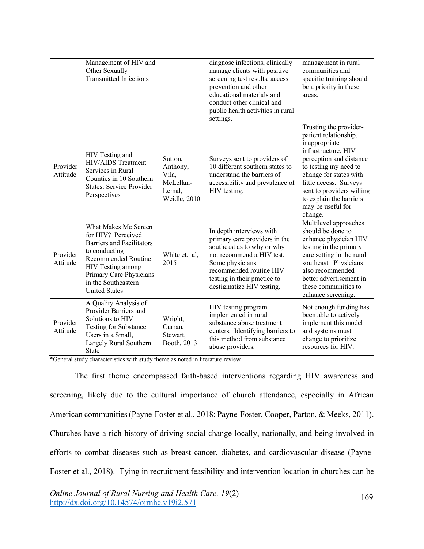|                      | Management of HIV and<br>Other Sexually<br><b>Transmitted Infections</b>                                                                                                                                                     |                                                                     | diagnose infections, clinically<br>manage clients with positive<br>screening test results, access<br>prevention and other<br>educational materials and<br>conduct other clinical and<br>public health activities in rural<br>settings. | management in rural<br>communities and<br>specific training should<br>be a priority in these<br>areas.                                                                                                                                                                                  |
|----------------------|------------------------------------------------------------------------------------------------------------------------------------------------------------------------------------------------------------------------------|---------------------------------------------------------------------|----------------------------------------------------------------------------------------------------------------------------------------------------------------------------------------------------------------------------------------|-----------------------------------------------------------------------------------------------------------------------------------------------------------------------------------------------------------------------------------------------------------------------------------------|
| Provider<br>Attitude | HIV Testing and<br><b>HIV/AIDS</b> Treatment<br>Services in Rural<br>Counties in 10 Southern<br><b>States: Service Provider</b><br>Perspectives                                                                              | Sutton,<br>Anthony,<br>Vila,<br>McLellan-<br>Lemal,<br>Weidle, 2010 | Surveys sent to providers of<br>10 different southern states to<br>understand the barriers of<br>accessibility and prevalence of<br>HIV testing.                                                                                       | Trusting the provider-<br>patient relationship,<br>inappropriate<br>infrastructure, HIV<br>perception and distance<br>to testing my need to<br>change for states with<br>little access. Surveys<br>sent to providers willing<br>to explain the barriers<br>may be useful for<br>change. |
| Provider<br>Attitude | What Makes Me Screen<br>for HIV? Perceived<br><b>Barriers and Facilitators</b><br>to conducting<br><b>Recommended Routine</b><br>HIV Testing among<br>Primary Care Physicians<br>in the Southeastern<br><b>United States</b> | White et. al,<br>2015                                               | In depth interviews with<br>primary care providers in the<br>southeast as to why or why<br>not recommend a HIV test.<br>Some physicians<br>recommended routine HIV<br>testing in their practice to<br>destigmatize HIV testing.        | Multilevel approaches<br>should be done to<br>enhance physician HIV<br>testing in the primary<br>care setting in the rural<br>southeast. Physicians<br>also recommended<br>better advertisement in<br>these communities to<br>enhance screening.                                        |
| Provider<br>Attitude | A Quality Analysis of<br>Provider Barriers and<br>Solutions to HIV<br><b>Testing for Substance</b><br>Users in a Small,<br>Largely Rural Southern<br>State                                                                   | Wright,<br>Curran,<br>Stewart,<br>Booth, 2013                       | HIV testing program<br>implemented in rural<br>substance abuse treatment<br>centers. Identifying barriers to<br>this method from substance<br>abuse providers.                                                                         | Not enough funding has<br>been able to actively<br>implement this model<br>and systems must<br>change to prioritize<br>resources for HIV.                                                                                                                                               |

\*General study characteristics with study theme as noted in literature review

The first theme encompassed faith-based interventions regarding HIV awareness and screening, likely due to the cultural importance of church attendance, especially in African American communities (Payne-Foster et al., 2018; Payne-Foster, Cooper, Parton, & Meeks, 2011). Churches have a rich history of driving social change locally, nationally, and being involved in efforts to combat diseases such as breast cancer, diabetes, and cardiovascular disease (Payne-Foster et al., 2018). Tying in recruitment feasibility and intervention location in churches can be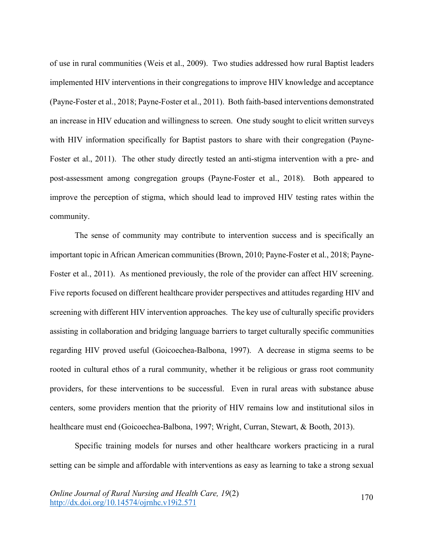of use in rural communities (Weis et al., 2009). Two studies addressed how rural Baptist leaders implemented HIV interventions in their congregations to improve HIV knowledge and acceptance (Payne-Foster et al., 2018; Payne-Foster et al., 2011). Both faith-based interventions demonstrated an increase in HIV education and willingness to screen. One study sought to elicit written surveys with HIV information specifically for Baptist pastors to share with their congregation (Payne-Foster et al., 2011). The other study directly tested an anti-stigma intervention with a pre- and post-assessment among congregation groups (Payne-Foster et al., 2018). Both appeared to improve the perception of stigma, which should lead to improved HIV testing rates within the community.

The sense of community may contribute to intervention success and is specifically an important topic in African American communities (Brown, 2010; Payne-Foster et al., 2018; Payne-Foster et al., 2011). As mentioned previously, the role of the provider can affect HIV screening. Five reports focused on different healthcare provider perspectives and attitudes regarding HIV and screening with different HIV intervention approaches. The key use of culturally specific providers assisting in collaboration and bridging language barriers to target culturally specific communities regarding HIV proved useful (Goicoechea-Balbona, 1997). A decrease in stigma seems to be rooted in cultural ethos of a rural community, whether it be religious or grass root community providers, for these interventions to be successful. Even in rural areas with substance abuse centers, some providers mention that the priority of HIV remains low and institutional silos in healthcare must end (Goicoechea-Balbona, 1997; Wright, Curran, Stewart, & Booth, 2013).

Specific training models for nurses and other healthcare workers practicing in a rural setting can be simple and affordable with interventions as easy as learning to take a strong sexual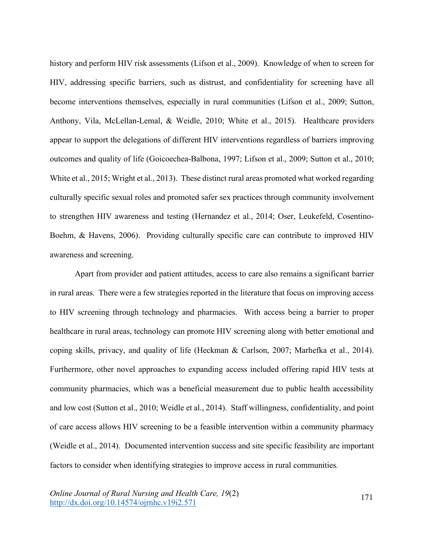history and perform HIV risk assessments (Lifson et al., 2009). Knowledge of when to screen for HIV, addressing specific barriers, such as distrust, and confidentiality for screening have all become interventions themselves, especially in rural communities (Lifson et al., 2009; Sutton, Anthony, Vila, McLellan-Lemal, & Weidle, 2010; White et al., 2015). Healthcare providers appear to support the delegations of different HIV interventions regardless of barriers improving outcomes and quality of life (Goicoechea-Balbona, 1997; Lifson et al., 2009; Sutton et al., 2010; White et al., 2015; Wright et al., 2013). These distinct rural areas promoted what worked regarding culturally specific sexual roles and promoted safer sex practices through community involvement to strengthen HIV awareness and testing (Hernandez et al., 2014; Oser, Leukefeld, Cosentino-Boehm, & Havens, 2006). Providing culturally specific care can contribute to improved HIV awareness and screening.

Apart from provider and patient attitudes, access to care also remains a significant barrier in rural areas. There were a few strategies reported in the literature that focus on improving access to HIV screening through technology and pharmacies. With access being a barrier to proper healthcare in rural areas, technology can promote HIV screening along with better emotional and coping skills, privacy, and quality of life (Heckman & Carlson, 2007; Marhefka et al., 2014). Furthermore, other novel approaches to expanding access included offering rapid HIV tests at community pharmacies, which was a beneficial measurement due to public health accessibility and low cost (Sutton et al., 2010; Weidle et al., 2014). Staff willingness, confidentiality, and point of care access allows HIV screening to be a feasible intervention within a community pharmacy (Weidle et al., 2014). Documented intervention success and site specific feasibility are important factors to consider when identifying strategies to improve access in rural communities.

*Online Journal of Rural Nursing and Health Care, 19*(2) Onthe Journal of Kural Ivarsing and Heath Care,  $19(2)$ <br>http://dx.doi.org/10.14574/ojrnhc.v19i2.571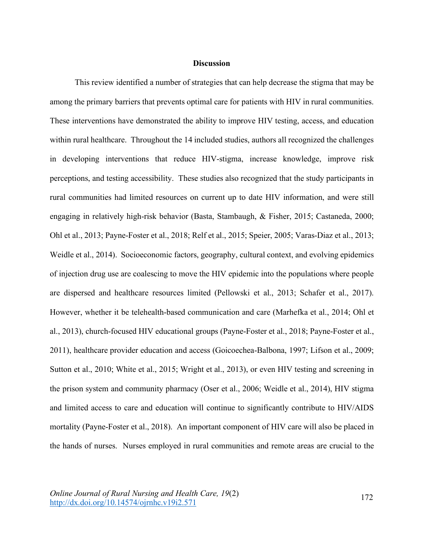#### **Discussion**

This review identified a number of strategies that can help decrease the stigma that may be among the primary barriers that prevents optimal care for patients with HIV in rural communities. These interventions have demonstrated the ability to improve HIV testing, access, and education within rural healthcare. Throughout the 14 included studies, authors all recognized the challenges in developing interventions that reduce HIV-stigma, increase knowledge, improve risk perceptions, and testing accessibility. These studies also recognized that the study participants in rural communities had limited resources on current up to date HIV information, and were still engaging in relatively high-risk behavior (Basta, Stambaugh, & Fisher, 2015; Castaneda, 2000; Ohl et al., 2013; Payne-Foster et al., 2018; Relf et al., 2015; Speier, 2005; Varas-Diaz et al., 2013; Weidle et al., 2014). Socioeconomic factors, geography, cultural context, and evolving epidemics of injection drug use are coalescing to move the HIV epidemic into the populations where people are dispersed and healthcare resources limited (Pellowski et al., 2013; Schafer et al., 2017). However, whether it be telehealth-based communication and care (Marhefka et al., 2014; Ohl et al., 2013), church-focused HIV educational groups (Payne-Foster et al., 2018; Payne-Foster et al., 2011), healthcare provider education and access (Goicoechea-Balbona, 1997; Lifson et al., 2009; Sutton et al., 2010; White et al., 2015; Wright et al., 2013), or even HIV testing and screening in the prison system and community pharmacy (Oser et al., 2006; Weidle et al., 2014), HIV stigma and limited access to care and education will continue to significantly contribute to HIV/AIDS mortality (Payne-Foster et al., 2018). An important component of HIV care will also be placed in the hands of nurses. Nurses employed in rural communities and remote areas are crucial to the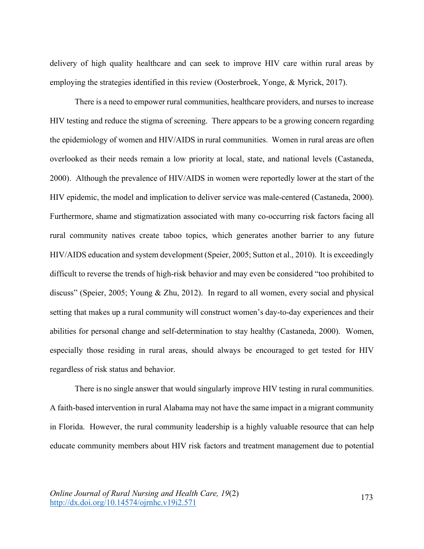delivery of high quality healthcare and can seek to improve HIV care within rural areas by employing the strategies identified in this review (Oosterbroek, Yonge, & Myrick, 2017).

There is a need to empower rural communities, healthcare providers, and nurses to increase HIV testing and reduce the stigma of screening. There appears to be a growing concern regarding the epidemiology of women and HIV/AIDS in rural communities. Women in rural areas are often overlooked as their needs remain a low priority at local, state, and national levels (Castaneda, 2000). Although the prevalence of HIV/AIDS in women were reportedly lower at the start of the HIV epidemic, the model and implication to deliver service was male-centered (Castaneda, 2000). Furthermore, shame and stigmatization associated with many co-occurring risk factors facing all rural community natives create taboo topics, which generates another barrier to any future HIV/AIDS education and system development (Speier, 2005; Sutton et al., 2010). It is exceedingly difficult to reverse the trends of high-risk behavior and may even be considered "too prohibited to discuss" (Speier, 2005; Young & Zhu, 2012). In regard to all women, every social and physical setting that makes up a rural community will construct women's day-to-day experiences and their abilities for personal change and self-determination to stay healthy (Castaneda, 2000). Women, especially those residing in rural areas, should always be encouraged to get tested for HIV regardless of risk status and behavior.

There is no single answer that would singularly improve HIV testing in rural communities. A faith-based intervention in rural Alabama may not have the same impact in a migrant community in Florida. However, the rural community leadership is a highly valuable resource that can help educate community members about HIV risk factors and treatment management due to potential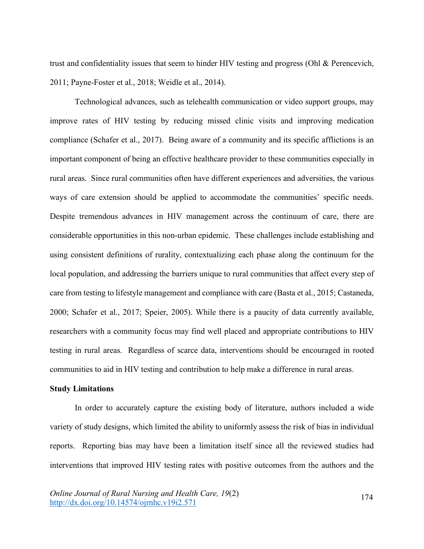trust and confidentiality issues that seem to hinder HIV testing and progress (Ohl & Perencevich, 2011; Payne-Foster et al., 2018; Weidle et al., 2014).

Technological advances, such as telehealth communication or video support groups, may improve rates of HIV testing by reducing missed clinic visits and improving medication compliance (Schafer et al., 2017). Being aware of a community and its specific afflictions is an important component of being an effective healthcare provider to these communities especially in rural areas. Since rural communities often have different experiences and adversities, the various ways of care extension should be applied to accommodate the communities' specific needs. Despite tremendous advances in HIV management across the continuum of care, there are considerable opportunities in this non-urban epidemic. These challenges include establishing and using consistent definitions of rurality, contextualizing each phase along the continuum for the local population, and addressing the barriers unique to rural communities that affect every step of care from testing to lifestyle management and compliance with care (Basta et al., 2015; Castaneda, 2000; Schafer et al., 2017; Speier, 2005). While there is a paucity of data currently available, researchers with a community focus may find well placed and appropriate contributions to HIV testing in rural areas. Regardless of scarce data, interventions should be encouraged in rooted communities to aid in HIV testing and contribution to help make a difference in rural areas.

## **Study Limitations**

In order to accurately capture the existing body of literature, authors included a wide variety of study designs, which limited the ability to uniformly assess the risk of bias in individual reports. Reporting bias may have been a limitation itself since all the reviewed studies had interventions that improved HIV testing rates with positive outcomes from the authors and the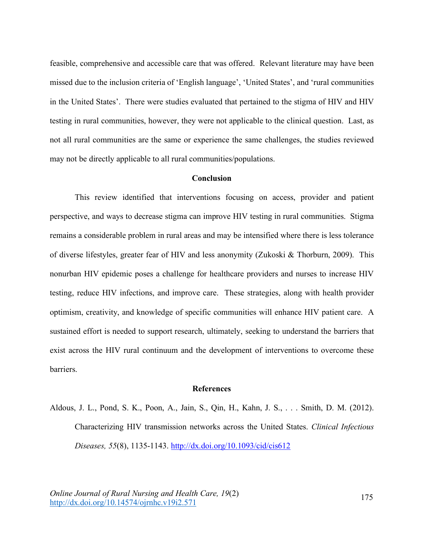feasible, comprehensive and accessible care that was offered. Relevant literature may have been missed due to the inclusion criteria of 'English language', 'United States', and 'rural communities in the United States'. There were studies evaluated that pertained to the stigma of HIV and HIV testing in rural communities, however, they were not applicable to the clinical question. Last, as not all rural communities are the same or experience the same challenges, the studies reviewed may not be directly applicable to all rural communities/populations.

#### **Conclusion**

This review identified that interventions focusing on access, provider and patient perspective, and ways to decrease stigma can improve HIV testing in rural communities. Stigma remains a considerable problem in rural areas and may be intensified where there is less tolerance of diverse lifestyles, greater fear of HIV and less anonymity (Zukoski & Thorburn, 2009). This nonurban HIV epidemic poses a challenge for healthcare providers and nurses to increase HIV testing, reduce HIV infections, and improve care. These strategies, along with health provider optimism, creativity, and knowledge of specific communities will enhance HIV patient care. A sustained effort is needed to support research, ultimately, seeking to understand the barriers that exist across the HIV rural continuum and the development of interventions to overcome these barriers.

#### **References**

Aldous, J. L., Pond, S. K., Poon, A., Jain, S., Qin, H., Kahn, J. S., . . . Smith, D. M. (2012). Characterizing HIV transmission networks across the United States. *Clinical Infectious Diseases, 55*(8), 1135-1143. http://dx.doi.org/10.1093/cid/cis612

*Online Journal of Rural Nursing and Health Care, 19*(2) Onthe Journal of Kural Ivarsing and Heath Care,  $19(2)$ <br>http://dx.doi.org/10.14574/ojrnhc.v19i2.571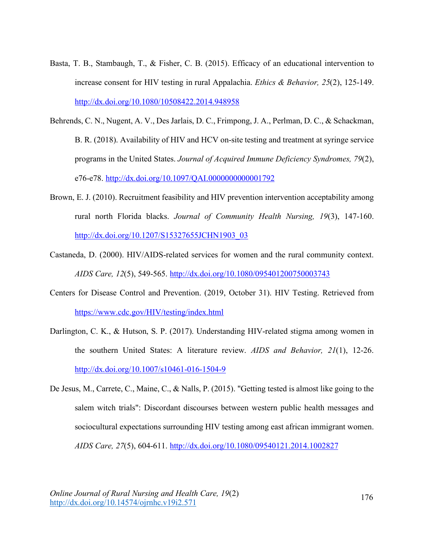- Basta, T. B., Stambaugh, T., & Fisher, C. B. (2015). Efficacy of an educational intervention to increase consent for HIV testing in rural Appalachia. *Ethics & Behavior, 25*(2), 125-149. http://dx.doi.org/10.1080/10508422.2014.948958
- Behrends, C. N., Nugent, A. V., Des Jarlais, D. C., Frimpong, J. A., Perlman, D. C., & Schackman, B. R. (2018). Availability of HIV and HCV on-site testing and treatment at syringe service programs in the United States. *Journal of Acquired Immune Deficiency Syndromes, 79*(2), e76-e78. http://dx.doi.org/10.1097/QAI.0000000000001792
- Brown, E. J. (2010). Recruitment feasibility and HIV prevention intervention acceptability among rural north Florida blacks. *Journal of Community Health Nursing, 19*(3), 147-160. http://dx.doi.org/10.1207/S15327655JCHN1903\_03
- Castaneda, D. (2000). HIV/AIDS-related services for women and the rural community context. *AIDS Care, 12*(5), 549-565. http://dx.doi.org/10.1080/095401200750003743
- Centers for Disease Control and Prevention. (2019, October 31). HIV Testing. Retrieved from https://www.cdc.gov/HIV/testing/index.html
- Darlington, C. K., & Hutson, S. P. (2017). Understanding HIV-related stigma among women in the southern United States: A literature review. *AIDS and Behavior, 21*(1), 12-26. http://dx.doi.org/10.1007/s10461-016-1504-9
- De Jesus, M., Carrete, C., Maine, C., & Nalls, P. (2015). "Getting tested is almost like going to the salem witch trials": Discordant discourses between western public health messages and sociocultural expectations surrounding HIV testing among east african immigrant women. *AIDS Care, 27*(5), 604-611. http://dx.doi.org/10.1080/09540121.2014.1002827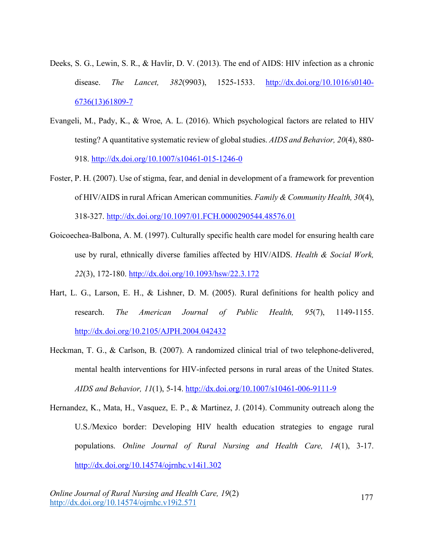- Deeks, S. G., Lewin, S. R., & Havlir, D. V. (2013). The end of AIDS: HIV infection as a chronic disease. *The Lancet, 382*(9903), 1525-1533. http://dx.doi.org/10.1016/s0140- 6736(13)61809-7
- Evangeli, M., Pady, K., & Wroe, A. L. (2016). Which psychological factors are related to HIV testing? A quantitative systematic review of global studies. *AIDS and Behavior, 20*(4), 880- 918. http://dx.doi.org/10.1007/s10461-015-1246-0
- Foster, P. H. (2007). Use of stigma, fear, and denial in development of a framework for prevention of HIV/AIDS in rural African American communities. *Family & Community Health, 30*(4), 318-327. http://dx.doi.org/10.1097/01.FCH.0000290544.48576.01
- Goicoechea-Balbona, A. M. (1997). Culturally specific health care model for ensuring health care use by rural, ethnically diverse families affected by HIV/AIDS. *Health & Social Work, 22*(3), 172-180. http://dx.doi.org/10.1093/hsw/22.3.172
- Hart, L. G., Larson, E. H., & Lishner, D. M. (2005). Rural definitions for health policy and research. *The American Journal of Public Health, 95*(7), 1149-1155. http://dx.doi.org/10.2105/AJPH.2004.042432
- Heckman, T. G., & Carlson, B. (2007). A randomized clinical trial of two telephone-delivered, mental health interventions for HIV-infected persons in rural areas of the United States. *AIDS and Behavior, 11*(1), 5-14. http://dx.doi.org/10.1007/s10461-006-9111-9
- Hernandez, K., Mata, H., Vasquez, E. P., & Martinez, J. (2014). Community outreach along the U.S./Mexico border: Developing HIV health education strategies to engage rural populations. *Online Journal of Rural Nursing and Health Care, 14*(1), 3-17. http://dx.doi.org/10.14574/ojrnhc.v14i1.302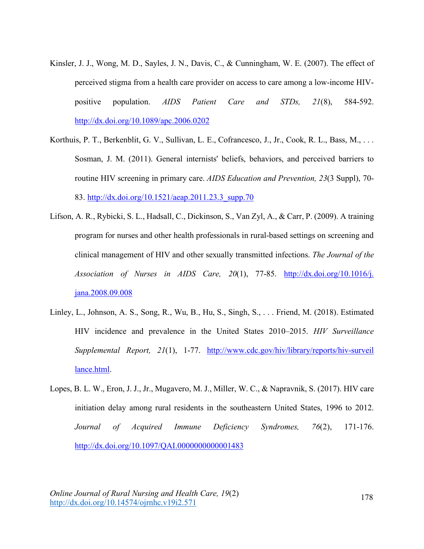- Kinsler, J. J., Wong, M. D., Sayles, J. N., Davis, C., & Cunningham, W. E. (2007). The effect of perceived stigma from a health care provider on access to care among a low-income HIVpositive population. *AIDS Patient Care and STDs, 21*(8), 584-592. http://dx.doi.org/10.1089/apc.2006.0202
- Korthuis, P. T., Berkenblit, G. V., Sullivan, L. E., Cofrancesco, J., Jr., Cook, R. L., Bass, M., ... Sosman, J. M. (2011). General internists' beliefs, behaviors, and perceived barriers to routine HIV screening in primary care. *AIDS Education and Prevention, 23*(3 Suppl), 70- 83. http://dx.doi.org/10.1521/aeap.2011.23.3\_supp.70
- Lifson, A. R., Rybicki, S. L., Hadsall, C., Dickinson, S., Van Zyl, A., & Carr, P. (2009). A training program for nurses and other health professionals in rural-based settings on screening and clinical management of HIV and other sexually transmitted infections. *The Journal of the Association of Nurses in AIDS Care, 20*(1), 77-85. http://dx.doi.org/10.1016/j. jana.2008.09.008
- Linley, L., Johnson, A. S., Song, R., Wu, B., Hu, S., Singh, S., . . . Friend, M. (2018). Estimated HIV incidence and prevalence in the United States 2010–2015. *HIV Surveillance Supplemental Report, 21*(1), 1-77. http://www.cdc.gov/hiv/library/reports/hiv-surveil lance.html.
- Lopes, B. L. W., Eron, J. J., Jr., Mugavero, M. J., Miller, W. C., & Napravnik, S. (2017). HIV care initiation delay among rural residents in the southeastern United States, 1996 to 2012. *Journal of Acquired Immune Deficiency Syndromes, 76*(2), 171-176. http://dx.doi.org/10.1097/QAI.0000000000001483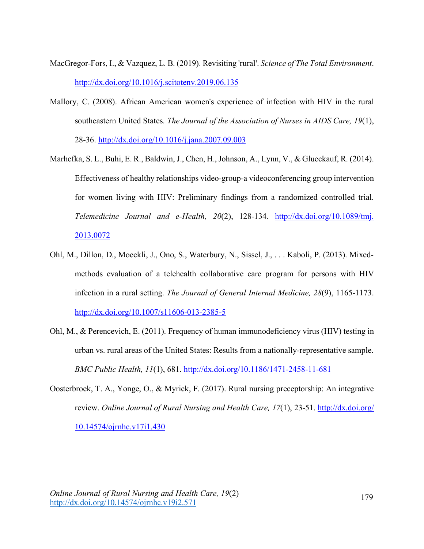- MacGregor-Fors, I., & Vazquez, L. B. (2019). Revisiting 'rural'. *Science of The Total Environment*. http://dx.doi.org/10.1016/j.scitotenv.2019.06.135
- Mallory, C. (2008). African American women's experience of infection with HIV in the rural southeastern United States. *The Journal of the Association of Nurses in AIDS Care, 19*(1), 28-36. http://dx.doi.org/10.1016/j.jana.2007.09.003
- Marhefka, S. L., Buhi, E. R., Baldwin, J., Chen, H., Johnson, A., Lynn, V., & Glueckauf, R. (2014). Effectiveness of healthy relationships video-group-a videoconferencing group intervention for women living with HIV: Preliminary findings from a randomized controlled trial. *Telemedicine Journal and e-Health, 20*(2), 128-134. http://dx.doi.org/10.1089/tmj. 2013.0072
- Ohl, M., Dillon, D., Moeckli, J., Ono, S., Waterbury, N., Sissel, J., . . . Kaboli, P. (2013). Mixedmethods evaluation of a telehealth collaborative care program for persons with HIV infection in a rural setting. *The Journal of General Internal Medicine, 28*(9), 1165-1173. http://dx.doi.org/10.1007/s11606-013-2385-5
- Ohl, M., & Perencevich, E. (2011). Frequency of human immunodeficiency virus (HIV) testing in urban vs. rural areas of the United States: Results from a nationally-representative sample. *BMC Public Health, 11*(1), 681. http://dx.doi.org/10.1186/1471-2458-11-681
- Oosterbroek, T. A., Yonge, O., & Myrick, F. (2017). Rural nursing preceptorship: An integrative review. *Online Journal of Rural Nursing and Health Care, 17*(1), 23-51. http://dx.doi.org/ 10.14574/ojrnhc.v17i1.430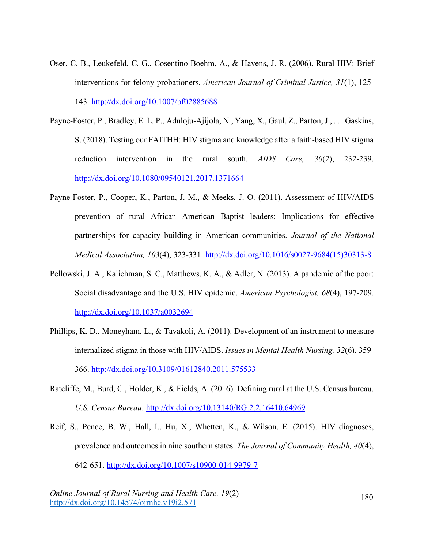- Oser, C. B., Leukefeld, C. G., Cosentino-Boehm, A., & Havens, J. R. (2006). Rural HIV: Brief interventions for felony probationers. *American Journal of Criminal Justice, 31*(1), 125- 143. http://dx.doi.org/10.1007/bf02885688
- Payne-Foster, P., Bradley, E. L. P., Aduloju-Ajijola, N., Yang, X., Gaul, Z., Parton, J., . . . Gaskins, S. (2018). Testing our FAITHH: HIV stigma and knowledge after a faith-based HIV stigma reduction intervention in the rural south. *AIDS Care, 30*(2), 232-239. http://dx.doi.org/10.1080/09540121.2017.1371664
- Payne-Foster, P., Cooper, K., Parton, J. M., & Meeks, J. O. (2011). Assessment of HIV/AIDS prevention of rural African American Baptist leaders: Implications for effective partnerships for capacity building in American communities. *Journal of the National Medical Association, 103*(4), 323-331. http://dx.doi.org/10.1016/s0027-9684(15)30313-8
- Pellowski, J. A., Kalichman, S. C., Matthews, K. A., & Adler, N. (2013). A pandemic of the poor: Social disadvantage and the U.S. HIV epidemic. *American Psychologist, 68*(4), 197-209. http://dx.doi.org/10.1037/a0032694
- Phillips, K. D., Moneyham, L., & Tavakoli, A. (2011). Development of an instrument to measure internalized stigma in those with HIV/AIDS. *Issues in Mental Health Nursing, 32*(6), 359- 366. http://dx.doi.org/10.3109/01612840.2011.575533
- Ratcliffe, M., Burd, C., Holder, K., & Fields, A. (2016). Defining rural at the U.S. Census bureau. *U.S. Census Bureau*. http://dx.doi.org/10.13140/RG.2.2.16410.64969
- Reif, S., Pence, B. W., Hall, I., Hu, X., Whetten, K., & Wilson, E. (2015). HIV diagnoses, prevalence and outcomes in nine southern states. *The Journal of Community Health, 40*(4), 642-651. http://dx.doi.org/10.1007/s10900-014-9979-7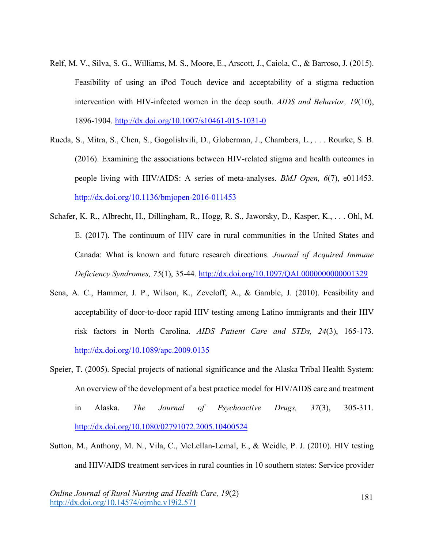- Relf, M. V., Silva, S. G., Williams, M. S., Moore, E., Arscott, J., Caiola, C., & Barroso, J. (2015). Feasibility of using an iPod Touch device and acceptability of a stigma reduction intervention with HIV-infected women in the deep south. *AIDS and Behavior, 19*(10), 1896-1904. http://dx.doi.org/10.1007/s10461-015-1031-0
- Rueda, S., Mitra, S., Chen, S., Gogolishvili, D., Globerman, J., Chambers, L., . . . Rourke, S. B. (2016). Examining the associations between HIV-related stigma and health outcomes in people living with HIV/AIDS: A series of meta-analyses. *BMJ Open, 6*(7), e011453. http://dx.doi.org/10.1136/bmjopen-2016-011453
- Schafer, K. R., Albrecht, H., Dillingham, R., Hogg, R. S., Jaworsky, D., Kasper, K., . . . Ohl, M. E. (2017). The continuum of HIV care in rural communities in the United States and Canada: What is known and future research directions. *Journal of Acquired Immune Deficiency Syndromes, 75*(1), 35-44. http://dx.doi.org/10.1097/QAI.0000000000001329
- Sena, A. C., Hammer, J. P., Wilson, K., Zeveloff, A., & Gamble, J. (2010). Feasibility and acceptability of door-to-door rapid HIV testing among Latino immigrants and their HIV risk factors in North Carolina. *AIDS Patient Care and STDs, 24*(3), 165-173. http://dx.doi.org/10.1089/apc.2009.0135
- Speier, T. (2005). Special projects of national significance and the Alaska Tribal Health System: An overview of the development of a best practice model for HIV/AIDS care and treatment in Alaska. *The Journal of Psychoactive Drugs, 37*(3), 305-311. http://dx.doi.org/10.1080/02791072.2005.10400524
- Sutton, M., Anthony, M. N., Vila, C., McLellan-Lemal, E., & Weidle, P. J. (2010). HIV testing and HIV/AIDS treatment services in rural counties in 10 southern states: Service provider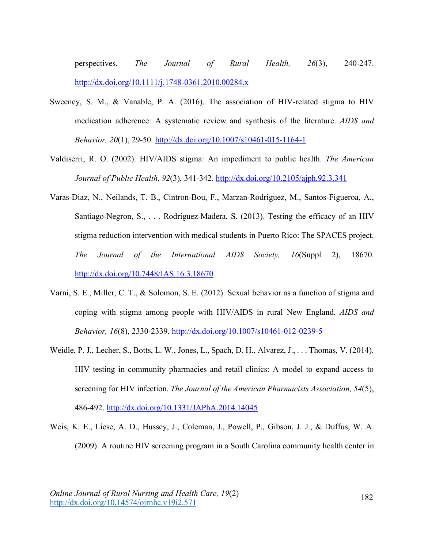perspectives. *The Journal of Rural Health, 26*(3), 240-247. http://dx.doi.org/10.1111/j.1748-0361.2010.00284.x

- Sweeney, S. M., & Vanable, P. A. (2016). The association of HIV-related stigma to HIV medication adherence: A systematic review and synthesis of the literature. *AIDS and Behavior, 20*(1), 29-50. http://dx.doi.org/10.1007/s10461-015-1164-1
- Valdiserri, R. O. (2002). HIV/AIDS stigma: An impediment to public health. *The American Journal of Public Health, 92*(3), 341-342. http://dx.doi.org/10.2105/ajph.92.3.341
- Varas-Diaz, N., Neilands, T. B., Cintron-Bou, F., Marzan-Rodriguez, M., Santos-Figueroa, A., Santiago-Negron, S., . . . Rodriguez-Madera, S. (2013). Testing the efficacy of an HIV stigma reduction intervention with medical students in Puerto Rico: The SPACES project. *The Journal of the International AIDS Society, 16*(Suppl 2), 18670. http://dx.doi.org/10.7448/IAS.16.3.18670
- Varni, S. E., Miller, C. T., & Solomon, S. E. (2012). Sexual behavior as a function of stigma and coping with stigma among people with HIV/AIDS in rural New England. *AIDS and Behavior, 16*(8), 2330-2339. http://dx.doi.org/10.1007/s10461-012-0239-5
- Weidle, P. J., Lecher, S., Botts, L. W., Jones, L., Spach, D. H., Alvarez, J., . . . Thomas, V. (2014). HIV testing in community pharmacies and retail clinics: A model to expand access to screening for HIV infection. *The Journal of the American Pharmacists Association, 54*(5), 486-492. http://dx.doi.org/10.1331/JAPhA.2014.14045
- Weis, K. E., Liese, A. D., Hussey, J., Coleman, J., Powell, P., Gibson, J. J., & Duffus, W. A. (2009). A routine HIV screening program in a South Carolina community health center in